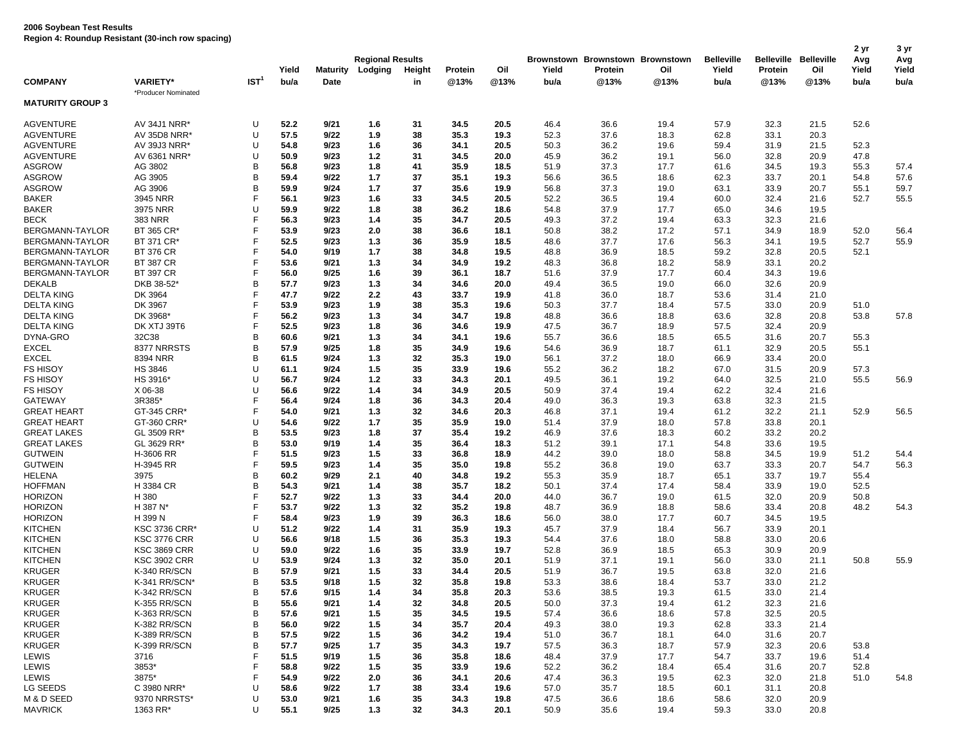|                         |                      |                  | Yield | <b>Maturity</b> | <b>Regional Results</b><br>Lodging | Height | Protein | Oil  | Yield        | Protein | Brownstown Brownstown Brownstown<br>Oil | <b>Belleville</b><br>Yield | <b>Belleville</b><br>Protein | Belleville<br>Oil | 2 yr<br>Avg<br>Yield | 3 yr<br>Avg<br>Yield |
|-------------------------|----------------------|------------------|-------|-----------------|------------------------------------|--------|---------|------|--------------|---------|-----------------------------------------|----------------------------|------------------------------|-------------------|----------------------|----------------------|
| <b>COMPANY</b>          | <b>VARIETY*</b>      | IST <sup>1</sup> | bu/a  | Date            |                                    | in     | @13%    | @13% | bu/a         | @13%    | @13%                                    | bu/a                       | @13%                         | @13%              | bu/a                 | bu/a                 |
| <b>MATURITY GROUP 3</b> | *Producer Nominated  |                  |       |                 |                                    |        |         |      |              |         |                                         |                            |                              |                   |                      |                      |
| <b>AGVENTURE</b>        | AV 34J1 NRR*         | U                | 52.2  | 9/21            | 1.6                                | 31     | 34.5    | 20.5 | 46.4         | 36.6    | 19.4                                    | 57.9                       | 32.3                         | 21.5              | 52.6                 |                      |
| <b>AGVENTURE</b>        | AV 35D8 NRR*         | U                | 57.5  | 9/22            | 1.9                                | 38     | 35.3    | 19.3 | 52.3         | 37.6    | 18.3                                    | 62.8                       | 33.1                         | 20.3              |                      |                      |
| <b>AGVENTURE</b>        | AV 39J3 NRR*         | U                | 54.8  | 9/23            | 1.6                                | 36     | 34.1    | 20.5 | 50.3         | 36.2    | 19.6                                    | 59.4                       | 31.9                         | 21.5              | 52.3                 |                      |
| <b>AGVENTURE</b>        | AV 6361 NRR*         | U                | 50.9  | 9/23            | 1.2                                | 31     | 34.5    | 20.0 | 45.9         | 36.2    | 19.1                                    | 56.0                       | 32.8                         | 20.9              | 47.8                 |                      |
| <b>ASGROW</b>           | AG 3802              | в                | 56.8  | 9/23            | 1.8                                | 41     | 35.9    | 18.5 | 51.9         | 37.3    | 17.7                                    | 61.6                       | 34.5                         | 19.3              | 55.3                 | 57.4                 |
| <b>ASGROW</b>           | AG 3905              | B                | 59.4  | 9/22            | 1.7                                | 37     | 35.1    | 19.3 | 56.6         | 36.5    | 18.6                                    | 62.3                       | 33.7                         | 20.1              | 54.8                 | 57.6                 |
| <b>ASGROW</b>           | AG 3906              | B                | 59.9  | 9/24            | 1.7                                | 37     | 35.6    | 19.9 | 56.8         | 37.3    | 19.0                                    | 63.1                       | 33.9                         | 20.7              | 55.1                 | 59.7                 |
| <b>BAKER</b>            | 3945 NRR             | F                | 56.1  | 9/23            | 1.6                                | 33     | 34.5    | 20.5 | 52.2         | 36.5    | 19.4                                    | 60.0                       | 32.4                         | 21.6              | 52.7                 | 55.5                 |
| <b>BAKER</b>            | 3975 NRR             | U                | 59.9  | 9/22            | 1.8                                | 38     | 36.2    | 18.6 | 54.8         | 37.9    | 17.7                                    | 65.0                       | 34.6                         | 19.5              |                      |                      |
| <b>BECK</b>             | 383 NRR              | F                | 56.3  | 9/23            | 1.4                                | 35     | 34.7    | 20.5 | 49.3         | 37.2    | 19.4                                    | 63.3                       | 32.3                         | 21.6              |                      |                      |
| BERGMANN-TAYLOR         | BT 365 CR*           | F                | 53.9  | 9/23            | 2.0                                | 38     | 36.6    | 18.1 | 50.8         | 38.2    | 17.2                                    | 57.1                       | 34.9                         | 18.9              | 52.0                 | 56.4                 |
| BERGMANN-TAYLOR         | BT 371 CR*           | F                | 52.5  | 9/23            | 1.3                                | 36     | 35.9    | 18.5 | 48.6         | 37.7    | 17.6                                    | 56.3                       | 34.1                         | 19.5              | 52.7                 | 55.9                 |
| BERGMANN-TAYLOR         | <b>BT 376 CR</b>     | F                | 54.0  | 9/19            | 1.7                                | 38     | 34.8    | 19.5 | 48.8         | 36.9    | 18.5                                    | 59.2                       | 32.8                         | 20.5              | 52.1                 |                      |
| BERGMANN-TAYLOR         | <b>BT 387 CR</b>     | F                | 53.6  | 9/21            | 1.3                                | 34     | 34.9    | 19.2 | 48.3         | 36.8    | 18.2                                    | 58.9                       | 33.1                         | 20.2              |                      |                      |
| BERGMANN-TAYLOR         | <b>BT 397 CR</b>     | F                | 56.0  | 9/25            | 1.6                                | 39     | 36.1    | 18.7 | 51.6         | 37.9    | 17.7                                    | 60.4                       | 34.3                         | 19.6              |                      |                      |
| <b>DEKALB</b>           | DKB 38-52*           | B                | 57.7  | 9/23            | 1.3                                | 34     | 34.6    | 20.0 | 49.4         | 36.5    | 19.0                                    | 66.0                       | 32.6                         | 20.9              |                      |                      |
| <b>DELTA KING</b>       | DK 3964              | F                | 47.7  | 9/22            | 2.2                                | 43     | 33.7    | 19.9 | 41.8         | 36.0    | 18.7                                    | 53.6                       | 31.4                         | 21.0              |                      |                      |
| <b>DELTA KING</b>       | DK 3967              | F                | 53.9  | 9/23            | 1.9                                | 38     | 35.3    | 19.6 | 50.3         | 37.7    | 18.4                                    | 57.5                       | 33.0                         | 20.9              | 51.0                 |                      |
| <b>DELTA KING</b>       | DK 3968'             | F                | 56.2  | 9/23            | 1.3                                | 34     | 34.7    | 19.8 | 48.8         | 36.6    | 18.8                                    | 63.6                       | 32.8                         | 20.8              | 53.8                 | 57.8                 |
| <b>DELTA KING</b>       | DK XTJ 39T6          | F                | 52.5  | 9/23            | 1.8                                | 36     | 34.6    | 19.9 | 47.5         | 36.7    | 18.9                                    | 57.5                       | 32.4                         | 20.9              |                      |                      |
| DYNA-GRO                | 32C38                | B                | 60.6  | 9/21            | 1.3                                | 34     | 34.1    | 19.6 | 55.7         | 36.6    | 18.5                                    | 65.5                       | 31.6                         | 20.7              | 55.3                 |                      |
| <b>EXCEL</b>            | 8377 NRRSTS          | B                | 57.9  | 9/25            | 1.8                                | 35     | 34.9    | 19.6 | 54.6         | 36.9    | 18.7                                    | 61.1                       | 32.9                         | 20.5              | 55.1                 |                      |
| <b>EXCEL</b>            | 8394 NRR             | B                | 61.5  | 9/24            | 1.3                                | 32     | 35.3    | 19.0 | 56.1         | 37.2    | 18.0                                    | 66.9                       | 33.4                         | 20.0              |                      |                      |
| <b>FS HISOY</b>         | <b>HS 3846</b>       | U                | 61.1  | 9/24            | 1.5                                | 35     | 33.9    | 19.6 | 55.2         | 36.2    | 18.2                                    | 67.0                       | 31.5                         | 20.9              | 57.3                 |                      |
| <b>FS HISOY</b>         | HS 3916              | U                | 56.7  | 9/24            | $1.2$                              | 33     | 34.3    | 20.1 | 49.5         | 36.1    | 19.2                                    | 64.0                       | 32.5                         | 21.0              | 55.5                 | 56.9                 |
| <b>FS HISOY</b>         | X 06-38              | U                | 56.6  | 9/22            | 1.4                                | 34     | 34.9    | 20.5 | 50.9         | 37.4    | 19.4                                    | 62.2                       | 32.4                         | 21.6              |                      |                      |
| <b>GATEWAY</b>          | 3R385*               | F                | 56.4  | 9/24            | 1.8                                | 36     | 34.3    | 20.4 |              | 36.3    | 19.3                                    | 63.8                       | 32.3                         |                   |                      |                      |
| <b>GREAT HEART</b>      | GT-345 CRR*          | F                | 54.0  | 9/21            | 1.3                                | 32     | 34.6    | 20.3 | 49.0<br>46.8 | 37.1    | 19.4                                    | 61.2                       | 32.2                         | 21.5<br>21.1      | 52.9                 | 56.5                 |
|                         |                      | U                |       | 9/22            |                                    |        |         |      |              |         |                                         |                            |                              |                   |                      |                      |
| <b>GREAT HEART</b>      | GT-360 CRR*          |                  | 54.6  |                 | 1.7                                | 35     | 35.9    | 19.0 | 51.4         | 37.9    | 18.0                                    | 57.8                       | 33.8                         | 20.1              |                      |                      |
| <b>GREAT LAKES</b>      | GL 3509 RR*          | B<br>B           | 53.5  | 9/23            | 1.8                                | 37     | 35.4    | 19.2 | 46.9         | 37.6    | 18.3                                    | 60.2                       | 33.2                         | 20.2              |                      |                      |
| <b>GREAT LAKES</b>      | GL 3629 RR*          |                  | 53.0  | 9/19            | 1.4                                | 35     | 36.4    | 18.3 | 51.2         | 39.1    | 17.1                                    | 54.8                       | 33.6                         | 19.5              |                      |                      |
| <b>GUTWEIN</b>          | H-3606 RR            | F<br>F           | 51.5  | 9/23            | 1.5                                | 33     | 36.8    | 18.9 | 44.2         | 39.0    | 18.0                                    | 58.8                       | 34.5                         | 19.9              | 51.2                 | 54.4                 |
| <b>GUTWEIN</b>          | H-3945 RR            |                  | 59.5  | 9/23            | 1.4                                | 35     | 35.0    | 19.8 | 55.2         | 36.8    | 19.0                                    | 63.7                       | 33.3                         | 20.7              | 54.7                 | 56.3                 |
| <b>HELENA</b>           | 3975                 | B                | 60.2  | 9/29            | 2.1                                | 40     | 34.8    | 19.2 | 55.3         | 35.9    | 18.7                                    | 65.1                       | 33.7                         | 19.7              | 55.4                 |                      |
| <b>HOFFMAN</b>          | H 3384 CR            | B                | 54.3  | 9/21            | 1.4                                | 38     | 35.7    | 18.2 | 50.1         | 37.4    | 17.4                                    | 58.4                       | 33.9                         | 19.0              | 52.5                 |                      |
| <b>HORIZON</b>          | H 380                | F                | 52.7  | 9/22            | 1.3                                | 33     | 34.4    | 20.0 | 44.0         | 36.7    | 19.0                                    | 61.5                       | 32.0                         | 20.9              | 50.8                 |                      |
| <b>HORIZON</b>          | H 387 N*             | F                | 53.7  | 9/22            | 1.3                                | 32     | 35.2    | 19.8 | 48.7         | 36.9    | 18.8                                    | 58.6                       | 33.4                         | 20.8              | 48.2                 | 54.3                 |
| <b>HORIZON</b>          | H 399 N              | F.               | 58.4  | 9/23            | 1.9                                | 39     | 36.3    | 18.6 | 56.0         | 38.0    | 17.7                                    | 60.7                       | 34.5                         | 19.5              |                      |                      |
| <b>KITCHEN</b>          | <b>KSC 3736 CRR*</b> | U                | 51.2  | 9/22            | 1.4                                | 31     | 35.9    | 19.3 | 45.7         | 37.9    | 18.4                                    | 56.7                       | 33.9                         | 20.1              |                      |                      |
| <b>KITCHEN</b>          | <b>KSC 3776 CRR</b>  | U                | 56.6  | 9/18            | 1.5                                | 36     | 35.3    | 19.3 | 54.4         | 37.6    | 18.0                                    | 58.8                       | 33.0                         | 20.6              |                      |                      |
| <b>KITCHEN</b>          | <b>KSC 3869 CRR</b>  | U                | 59.0  | 9/22            | 1.6                                | 35     | 33.9    | 19.7 | 52.8         | 36.9    | 18.5                                    | 65.3                       | 30.9                         | 20.9              |                      |                      |
| <b>KITCHEN</b>          | <b>KSC 3902 CRR</b>  | U                | 53.9  | 9/24            | 1.3                                | 32     | 35.0    | 20.1 | 51.9         | 37.1    | 19.1                                    | 56.0                       | 33.0                         | 21.1              | 50.8                 | 55.9                 |
| <b>KRUGER</b>           | K-340 RR/SCN         | B                | 57.9  | 9/21            | 1.5                                | 33     | 34.4    | 20.5 | 51.9         | 36.7    | 19.5                                    | 63.8                       | 32.0                         | 21.6              |                      |                      |
| <b>KRUGER</b>           | K-341 RR/SCN*        | В                | 53.5  | 9/18            | 1.5                                | 32     | 35.8    | 19.8 | 53.3         | 38.6    | 18.4                                    | 53.7                       | 33.0                         | 21.2              |                      |                      |
| <b>KRUGER</b>           | K-342 RR/SCN         | В                | 57.6  | 9/15            | 1.4                                | 34     | 35.8    | 20.3 | 53.6         | 38.5    | 19.3                                    | 61.5                       | 33.0                         | 21.4              |                      |                      |
| <b>KRUGER</b>           | K-355 RR/SCN         | В                | 55.6  | 9/21            | 1.4                                | 32     | 34.8    | 20.5 | 50.0         | 37.3    | 19.4                                    | 61.2                       | 32.3                         | 21.6              |                      |                      |
| <b>KRUGER</b>           | K-363 RR/SCN         | В                | 57.6  | 9/21            | 1.5                                | 35     | 34.5    | 19.5 | 57.4         | 36.6    | 18.6                                    | 57.8                       | 32.5                         | 20.5              |                      |                      |
| <b>KRUGER</b>           | K-382 RR/SCN         | B                | 56.0  | 9/22            | 1.5                                | 34     | 35.7    | 20.4 | 49.3         | 38.0    | 19.3                                    | 62.8                       | 33.3                         | 21.4              |                      |                      |
| <b>KRUGER</b>           | K-389 RR/SCN         | В                | 57.5  | 9/22            | 1.5                                | 36     | 34.2    | 19.4 | 51.0         | 36.7    | 18.1                                    | 64.0                       | 31.6                         | 20.7              |                      |                      |
| KRUGER                  | K-399 RR/SCN         | В                | 57.7  | 9/25            | 1.7                                | 35     | 34.3    | 19.7 | 57.5         | 36.3    | 18.7                                    | 57.9                       | 32.3                         | 20.6              | 53.8                 |                      |
| LEWIS                   | 3716                 |                  | 51.5  | 9/19            | 1.5                                | 36     | 35.8    | 18.6 | 48.4         | 37.9    | 17.7                                    | 54.7                       | 33.7                         | 19.6              | 51.4                 |                      |
| LEWIS                   | 3853*                |                  | 58.8  | 9/22            | 1.5                                | 35     | 33.9    | 19.6 | 52.2         | 36.2    | 18.4                                    | 65.4                       | 31.6                         | 20.7              | 52.8                 |                      |
| LEWIS                   | 3875*                |                  | 54.9  | 9/22            | 2.0                                | 36     | 34.1    | 20.6 | 47.4         | 36.3    | 19.5                                    | 62.3                       | 32.0                         | 21.8              | 51.0                 | 54.8                 |
| LG SEEDS                | C 3980 NRR*          | U                | 58.6  | 9/22            | 1.7                                | 38     | 33.4    | 19.6 | 57.0         | 35.7    | 18.5                                    | 60.1                       | 31.1                         | 20.8              |                      |                      |
| M & D SEED              | 9370 NRRSTS*         | U                | 53.0  | 9/21            | 1.6                                | 35     | 34.3    | 19.8 | 47.5         | 36.6    | 18.6                                    | 58.6                       | 32.0                         | 20.9              |                      |                      |
| <b>MAVRICK</b>          | 1363 RR*             | U                | 55.1  | 9/25            | 1.3                                | 32     | 34.3    | 20.1 | 50.9         | 35.6    | 19.4                                    | 59.3                       | 33.0                         | 20.8              |                      |                      |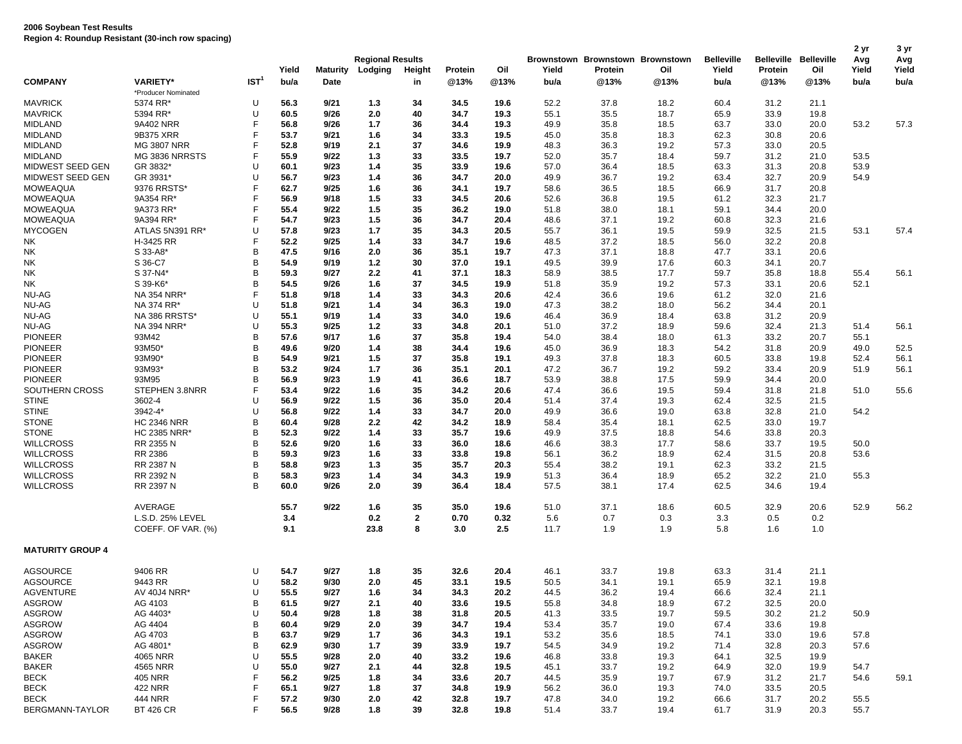|                         |                     |                  | Yield        | <b>Maturity</b> | <b>Regional Results</b><br>Lodging | Height       | Protein | Oil  | Yield        | Protein | Brownstown Brownstown Brownstown<br>Oil | <b>Belleville</b><br>Yield | <b>Belleville</b><br>Protein | <b>Belleville</b><br>Oil | 2 yr<br>Avg<br>Yield | 3 yr<br>Avg<br>Yield |
|-------------------------|---------------------|------------------|--------------|-----------------|------------------------------------|--------------|---------|------|--------------|---------|-----------------------------------------|----------------------------|------------------------------|--------------------------|----------------------|----------------------|
| <b>COMPANY</b>          | <b>VARIETY*</b>     | IST <sup>1</sup> | bu/a         | Date            |                                    | in           | @13%    | @13% | bu/a         | @13%    | @13%                                    | bu/a                       | @13%                         | @13%                     | bu/a                 | bu/a                 |
|                         | *Producer Nominated |                  |              |                 |                                    |              |         |      |              |         |                                         |                            |                              |                          |                      |                      |
| <b>MAVRICK</b>          | 5374 RR*            | U                | 56.3         | 9/21            | 1.3                                | 34           | 34.5    | 19.6 | 52.2         | 37.8    | 18.2                                    | 60.4                       | 31.2                         | 21.1                     |                      |                      |
| <b>MAVRICK</b>          | 5394 RR*            | U                | 60.5         | 9/26            | 2.0                                | 40           | 34.7    | 19.3 | 55.1         | 35.5    | 18.7                                    | 65.9                       | 33.9                         | 19.8                     |                      |                      |
| <b>MIDLAND</b>          | 9A402 NRR           | F                | 56.8         | 9/26            | 1.7                                | 36           | 34.4    | 19.3 | 49.9         | 35.8    | 18.5                                    | 63.7                       | 33.0                         | 20.0                     | 53.2                 | 57.3                 |
| <b>MIDLAND</b>          | 9B375 XRR           | F                | 53.7         | 9/21            | 1.6                                | 34           | 33.3    | 19.5 | 45.0         | 35.8    | 18.3                                    | 62.3                       | 30.8                         | 20.6                     |                      |                      |
| <b>MIDLAND</b>          | <b>MG 3807 NRR</b>  | F                | 52.8         | 9/19            | 2.1                                | 37           | 34.6    | 19.9 | 48.3         | 36.3    | 19.2                                    | 57.3                       | 33.0                         | 20.5                     |                      |                      |
| <b>MIDLAND</b>          | MG 3836 NRRSTS      | F                | 55.9         | 9/22            | 1.3                                | 33           | 33.5    | 19.7 | 52.0         | 35.7    | 18.4                                    | 59.7                       | 31.2                         | 21.0                     | 53.5                 |                      |
| MIDWEST SEED GEN        | GR 3832*            | U                | 60.1         | 9/23            | 1.4                                | 35           | 33.9    | 19.6 | 57.0         | 36.4    | 18.5                                    | 63.3                       | 31.3                         | 20.8                     | 53.9                 |                      |
| MIDWEST SEED GEN        | GR 3931'            | U                | 56.7         | 9/23            | 1.4                                | 36           | 34.7    | 20.0 | 49.9         | 36.7    | 19.2                                    | 63.4                       | 32.7                         | 20.9                     | 54.9                 |                      |
| <b>MOWEAQUA</b>         | 9376 RRSTS*         | F.               | 62.7         | 9/25            | 1.6                                | 36           | 34.1    | 19.7 | 58.6         | 36.5    | 18.5                                    | 66.9                       | 31.7                         | 20.8                     |                      |                      |
| <b>MOWEAQUA</b>         | 9A354 RR*           | F.               | 56.9         | 9/18            | 1.5                                | 33           | 34.5    | 20.6 | 52.6         | 36.8    | 19.5                                    | 61.2                       | 32.3                         | 21.7                     |                      |                      |
| <b>MOWEAQUA</b>         | 9A373 RR*           | F                | 55.4         | 9/22            | 1.5                                | 35           | 36.2    | 19.0 | 51.8         | 38.0    | 18.1                                    | 59.1                       | 34.4                         | 20.0                     |                      |                      |
| <b>MOWEAQUA</b>         | 9A394 RR*           | F                | 54.7         | 9/23            | 1.5                                | 36           | 34.7    | 20.4 | 48.6         | 37.1    | 19.2                                    | 60.8                       | 32.3                         | 21.6                     |                      |                      |
| <b>MYCOGEN</b>          | ATLAS 5N391 RR*     | U                | 57.8         | 9/23            | 1.7                                | 35           | 34.3    | 20.5 | 55.7         | 36.1    | 19.5                                    | 59.9                       | 32.5                         | 21.5                     | 53.1                 | 57.4                 |
| NK                      | H-3425 RR           | F                | 52.2         | 9/25            | 1.4                                | 33           | 34.7    | 19.6 | 48.5         | 37.2    | 18.5                                    | 56.0                       | 32.2                         | 20.8                     |                      |                      |
| <b>NK</b>               | S 33-A8*            | В                | 47.5         | 9/16            | 2.0                                | 36           | 35.1    | 19.7 | 47.3         | 37.1    | 18.8                                    | 47.7                       | 33.1                         | 20.6                     |                      |                      |
| <b>NK</b>               | S 36-C7             | В                | 54.9         | 9/19            | $1.2$                              | 30           | 37.0    | 19.1 | 49.5         | 39.9    | 17.6                                    | 60.3                       | 34.1                         | 20.7                     |                      |                      |
| <b>NK</b>               | S 37-N4*            | В                | 59.3         | 9/27            | 2.2                                | 41           | 37.1    | 18.3 | 58.9         | 38.5    | 17.7                                    | 59.7                       | 35.8                         | 18.8                     | 55.4                 | 56.1                 |
| <b>NK</b>               | S 39-K6*            | В                | 54.5         | 9/26            | 1.6                                | 37           | 34.5    | 19.9 | 51.8         | 35.9    | 19.2                                    | 57.3                       | 33.1                         | 20.6                     | 52.1                 |                      |
| NU-AG                   | NA 354 NRR*         | F.               | 51.8         | 9/18            | 1.4                                | 33           | 34.3    | 20.6 | 42.4         | 36.6    | 19.6                                    | 61.2                       | 32.0                         | 21.6                     |                      |                      |
| NU-AG                   | NA 374 RR*          | U                | 51.8         | 9/21            | 1.4                                | 34           | 36.3    | 19.0 | 47.3         | 38.2    | 18.0                                    | 56.2                       | 34.4                         | 20.1                     |                      |                      |
| NU-AG                   | NA 386 RRSTS*       | U                | 55.1         | 9/19            | 1.4                                | 33           | 34.0    | 19.6 | 46.4         | 36.9    | 18.4                                    | 63.8                       | 31.2                         | 20.9                     |                      |                      |
| NU-AG                   | NA 394 NRR*         | U                | 55.3         | 9/25            | 1.2                                | 33           | 34.8    | 20.1 | 51.0         | 37.2    | 18.9                                    | 59.6                       | 32.4                         | 21.3                     | 51.4                 | 56.1                 |
| <b>PIONEER</b>          | 93M42               | В                | 57.6         | 9/17            | 1.6                                | 37           | 35.8    | 19.4 | 54.0         | 38.4    | 18.0                                    | 61.3                       | 33.2                         | 20.7                     | 55.1                 |                      |
| <b>PIONEER</b>          | 93M50*              | В                | 49.6         | 9/20            | 1.4                                | 38           | 34.4    | 19.6 | 45.0         | 36.9    | 18.3                                    | 54.2                       | 31.8                         | 20.9                     | 49.0                 | 52.5                 |
| <b>PIONEER</b>          | 93M90*              | B                | 54.9         | 9/21            | 1.5                                | 37           | 35.8    | 19.1 |              | 37.8    | 18.3                                    | 60.5                       | 33.8                         | 19.8                     | 52.4                 | 56.1                 |
| <b>PIONEER</b>          | 93M93*              | В                | 53.2         | 9/24            | 1.7                                | 36           | 35.1    | 20.1 | 49.3<br>47.2 | 36.7    | 19.2                                    | 59.2                       | 33.4                         | 20.9                     | 51.9                 | 56.1                 |
| <b>PIONEER</b>          | 93M95               | В                | 56.9         | 9/23            | 1.9                                | 41           | 36.6    | 18.7 |              | 38.8    |                                         | 59.9                       |                              | 20.0                     |                      |                      |
| SOUTHERN CROSS          |                     | F                |              |                 |                                    |              |         |      | 53.9         |         | 17.5                                    |                            | 34.4                         |                          |                      |                      |
|                         | STEPHEN 3.8NRR      | U                | 53.4         | 9/22            | 1.6                                | 35           | 34.2    | 20.6 | 47.4         | 36.6    | 19.5                                    | 59.4                       | 31.8                         | 21.8                     | 51.0                 | 55.6                 |
| <b>STINE</b>            | 3602-4              |                  | 56.9         | 9/22            | 1.5                                | 36<br>33     | 35.0    | 20.4 | 51.4         | 37.4    | 19.3                                    | 62.4                       | 32.5                         | 21.5                     |                      |                      |
| <b>STINE</b>            | 3942-4*             | U                | 56.8         | 9/22            | 1.4                                |              | 34.7    | 20.0 | 49.9         | 36.6    | 19.0                                    | 63.8                       | 32.8                         | 21.0                     | 54.2                 |                      |
| <b>STONE</b>            | <b>HC 2346 NRR</b>  | В                | 60.4         | 9/28            | 2.2                                | 42           | 34.2    | 18.9 | 58.4         | 35.4    | 18.1                                    | 62.5                       | 33.0                         | 19.7                     |                      |                      |
| <b>STONE</b>            | <b>HC 2385 NRR*</b> | В                | 52.3         | 9/22            | 1.4                                | 33           | 35.7    | 19.6 | 49.9         | 37.5    | 18.8                                    | 54.6                       | 33.8                         | 20.3                     |                      |                      |
| <b>WILLCROSS</b>        | RR 2355 N           | В                | 52.6         | 9/20            | 1.6                                | 33           | 36.0    | 18.6 | 46.6         | 38.3    | 17.7                                    | 58.6                       | 33.7                         | 19.5                     | 50.0                 |                      |
| <b>WILLCROSS</b>        | RR 2386             | В                | 59.3         | 9/23            | 1.6                                | 33           | 33.8    | 19.8 | 56.1         | 36.2    | 18.9                                    | 62.4                       | 31.5                         | 20.8                     | 53.6                 |                      |
| <b>WILLCROSS</b>        | RR 2387 N           | В                | 58.8         | 9/23            | 1.3                                | 35           | 35.7    | 20.3 | 55.4         | 38.2    | 19.1                                    | 62.3                       | 33.2                         | 21.5                     |                      |                      |
| <b>WILLCROSS</b>        | RR 2392 N           | В                | 58.3         | 9/23            | 1.4                                | 34           | 34.3    | 19.9 | 51.3         | 36.4    | 18.9                                    | 65.2                       | 32.2                         | 21.0                     | 55.3                 |                      |
| <b>WILLCROSS</b>        | RR 2397 N           | B                | 60.0         | 9/26            | 2.0                                | 39           | 36.4    | 18.4 | 57.5         | 38.1    | 17.4                                    | 62.5                       | 34.6                         | 19.4                     |                      |                      |
|                         | AVERAGE             |                  | 55.7         | 9/22            | 1.6                                | 35           | 35.0    | 19.6 | 51.0         | 37.1    | 18.6                                    | 60.5                       | 32.9                         | 20.6                     | 52.9                 | 56.2                 |
|                         | L.S.D. 25% LEVEL    |                  | 3.4          |                 | 0.2                                | $\mathbf{2}$ | 0.70    | 0.32 | 5.6          | 0.7     | 0.3                                     | 3.3                        | 0.5                          | 0.2                      |                      |                      |
|                         | COEFF. OF VAR. (%)  |                  | 9.1          |                 | 23.8                               | 8            | 3.0     | 2.5  | 11.7         | 1.9     | 1.9                                     | 5.8                        | 1.6                          | 1.0                      |                      |                      |
| <b>MATURITY GROUP 4</b> |                     |                  |              |                 |                                    |              |         |      |              |         |                                         |                            |                              |                          |                      |                      |
| <b>AGSOURCE</b>         | 9406 RR             | U                | 54.7         | 9/27            | 1.8                                | 35           | 32.6    | 20.4 | 46.1         | 33.7    | 19.8                                    | 63.3                       | 31.4                         | 21.1                     |                      |                      |
| <b>AGSOURCE</b>         | 9443 RR             | U                | 58.2         | 9/30            | 2.0                                | 45           | 33.1    | 19.5 | 50.5         | 34.1    | 19.1                                    | 65.9                       | 32.1                         | 19.8                     |                      |                      |
| <b>AGVENTURE</b>        | AV 40J4 NRR*        | U                | 55.5         | 9/27            | 1.6                                | 34           | 34.3    | 20.2 | 44.5         | 36.2    | 19.4                                    | 66.6                       | 32.4                         | 21.1                     |                      |                      |
| <b>ASGROW</b>           | AG 4103             | в                | 61.5         | 9/27            | 2.1                                | 40           | 33.6    | 19.5 | 55.8         | 34.8    | 18.9                                    | 67.2                       | 32.5                         | 20.0                     |                      |                      |
| <b>ASGROW</b>           | AG 4403*            | U                | 50.4         | 9/28            | 1.8                                | 38           | 31.8    | 20.5 | 41.3         | 33.5    | 19.7                                    | 59.5                       | 30.2                         | 21.2                     | 50.9                 |                      |
| <b>ASGROW</b>           | AG 4404             | в                | 60.4         | 9/29            | 2.0                                | 39           | 34.7    | 19.4 |              | 35.7    | 19.0                                    | 67.4                       | 33.6                         | 19.8                     |                      |                      |
|                         |                     |                  |              |                 |                                    |              |         |      | 53.4         |         |                                         |                            |                              |                          |                      |                      |
| <b>ASGROW</b>           | AG 4703             | в                | 63.7<br>62.9 | 9/29            | 1.7                                | 36           | 34.3    | 19.1 | 53.2         | 35.6    | 18.5                                    | 74.1                       | 33.0                         | 19.6                     | 57.8                 |                      |
| <b>ASGROW</b>           | AG 4801*            | В                |              | 9/30            | 1.7                                | 39           | 33.9    | 19.7 | 54.5         | 34.9    | 19.2                                    | 71.4                       | 32.8                         | 20.3                     | 57.6                 |                      |
| <b>BAKER</b>            | 4065 NRR            | U                | 55.5         | 9/28            | 2.0                                | 40           | 33.2    | 19.6 | 46.8         | 33.8    | 19.3                                    | 64.1                       | 32.5                         | 19.9                     |                      |                      |
| <b>BAKER</b>            | 4565 NRR            | U                | 55.0         | 9/27            | 2.1                                | 44           | 32.8    | 19.5 | 45.1         | 33.7    | 19.2                                    | 64.9                       | 32.0                         | 19.9                     | 54.7                 |                      |
| BECK                    | 405 NRR             | F                | 56.2         | 9/25            | 1.8                                | 34           | 33.6    | 20.7 | 44.5         | 35.9    | 19.7                                    | 67.9                       | 31.2                         | 21.7                     | 54.6                 | 59.1                 |
| <b>BECK</b>             | <b>422 NRR</b>      | F                | 65.1         | 9/27            | 1.8                                | 37           | 34.8    | 19.9 | 56.2         | 36.0    | 19.3                                    | 74.0                       | 33.5                         | 20.5                     |                      |                      |
| <b>BECK</b>             | 444 NRR             |                  | 57.2         | 9/30            | 2.0                                | 42           | 32.8    | 19.7 | 47.8         | 34.0    | 19.2                                    | 66.6                       | 31.7                         | 20.2                     | 55.5                 |                      |
| BERGMANN-TAYLOR         | <b>BT 426 CR</b>    | F                | 56.5         | 9/28            | 1.8                                | 39           | 32.8    | 19.8 | 51.4         | 33.7    | 19.4                                    | 61.7                       | 31.9                         | 20.3                     | 55.7                 |                      |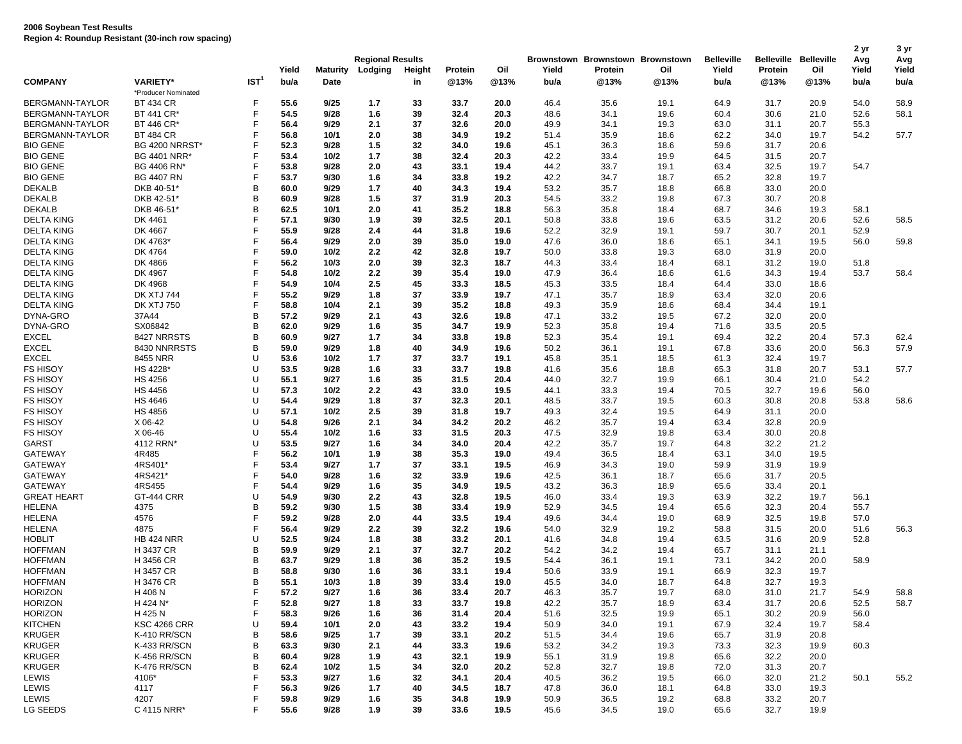|                                    |                                      |                  |              |                 | <b>Regional Results</b> |          |              |              |              | Brownstown Brownstown Brownstown |              | <b>Belleville</b> | Belleville   | <b>Belleville</b> | 2 yr<br>Avg  | 3 yr<br>Avg  |
|------------------------------------|--------------------------------------|------------------|--------------|-----------------|-------------------------|----------|--------------|--------------|--------------|----------------------------------|--------------|-------------------|--------------|-------------------|--------------|--------------|
|                                    |                                      |                  | Yield        | <b>Maturity</b> | Lodging                 | Height   | Protein      | Oil          | Yield        | Protein                          | Oil          | Yield             | Protein      | Oil               | Yield        | Yield        |
| <b>COMPANY</b>                     | <b>VARIETY*</b>                      | IST <sup>1</sup> | bu/a         | <b>Date</b>     |                         | in       | @13%         | @13%         | bu/a         | @13%                             | @13%         | bu/a              | @13%         | @13%              | bu/a         | bu/a         |
|                                    | *Producer Nominated                  | F                |              |                 |                         |          |              |              |              |                                  |              |                   |              |                   |              |              |
| BERGMANN-TAYLOR<br>BERGMANN-TAYLOR | <b>BT 434 CR</b><br><b>BT 441 CR</b> | F                | 55.6<br>54.5 | 9/25<br>9/28    | 1.7<br>1.6              | 33<br>39 | 33.7<br>32.4 | 20.0<br>20.3 | 46.4<br>48.6 | 35.6<br>34.1                     | 19.1<br>19.6 | 64.9<br>60.4      | 31.7<br>30.6 | 20.9<br>21.0      | 54.0<br>52.6 | 58.9         |
| <b>BERGMANN-TAYLOR</b>             |                                      | F                |              |                 |                         |          |              |              |              |                                  |              |                   |              |                   |              | 58.1         |
|                                    | <b>BT 446 CR</b>                     | F                | 56.4         | 9/29            | 2.1                     | 37       | 32.6         | 20.0         | 49.9         | 34.1                             | 19.3         | 63.0              | 31.1         | 20.7              | 55.3         |              |
| BERGMANN-TAYLOR<br><b>BIO GENE</b> | <b>BT 484 CR</b>                     | F                | 56.8<br>52.3 | 10/1<br>9/28    | 2.0<br>1.5              | 38<br>32 | 34.9         | 19.2         | 51.4         | 35.9                             | 18.6         | 62.2              | 34.0         | 19.7              | 54.2         | 57.7         |
|                                    | <b>BG 4200 NRRST*</b>                | F                | 53.4         | 10/2            |                         | 38       | 34.0         | 19.6         | 45.1         | 36.3                             | 18.6         | 59.6              | 31.7         | 20.6              |              |              |
| <b>BIO GENE</b>                    | <b>BG 4401 NRR</b>                   | F                |              |                 | 1.7                     |          | 32.4         | 20.3         | 42.2         | 33.4                             | 19.9         | 64.5              | 31.5         | 20.7              |              |              |
| <b>BIO GENE</b><br><b>BIO GENE</b> | BG 4406 RN*                          | F                | 53.8         | 9/28            | 2.0                     | 43       | 33.1         | 19.4         | 44.2         | 33.7                             | 19.1         | 63.4              | 32.5         | 19.7              | 54.7         |              |
|                                    | <b>BG 4407 RN</b>                    | B                | 53.7         | 9/30            | 1.6                     | 34       | 33.8         | 19.2         | 42.2         | 34.7                             | 18.7         | 65.2              | 32.8         | 19.7              |              |              |
| <b>DEKALB</b><br><b>DEKALB</b>     | DKB 40-51*<br>DKB 42-51*             | B                | 60.0<br>60.9 | 9/29<br>9/28    | 1.7<br>1.5              | 40<br>37 | 34.3         | 19.4         | 53.2         | 35.7<br>33.2                     | 18.8<br>19.8 | 66.8              | 33.0<br>30.7 | 20.0              |              |              |
|                                    |                                      | B                | 62.5         | 10/1            | 2.0                     | 41       | 31.9         | 20.3         | 54.5         |                                  |              | 67.3              |              | 20.8              |              |              |
| <b>DEKALB</b><br><b>DELTA KING</b> | DKB 46-51*<br>DK 4461                | F                | 57.1         | 9/30            | 1.9                     | 39       | 35.2<br>32.5 | 18.8<br>20.1 | 56.3         | 35.8<br>33.8                     | 18.4<br>19.6 | 68.7<br>63.5      | 34.6         | 19.3<br>20.6      | 58.1<br>52.6 | 58.5         |
| <b>DELTA KING</b>                  | DK 4667                              | F                | 55.9         | 9/28            | 2.4                     | 44       | 31.8         | 19.6         | 50.8<br>52.2 | 32.9                             | 19.1         | 59.7              | 31.2<br>30.7 | 20.1              | 52.9         |              |
| <b>DELTA KING</b>                  | DK 4763*                             | F                | 56.4         | 9/29            | 2.0                     | 39       | 35.0         | 19.0         | 47.6         | 36.0                             | 18.6         | 65.1              | 34.1         | 19.5              | 56.0         |              |
| <b>DELTA KING</b>                  | DK 4764                              | F                | 59.0         | 10/2            | 2.2                     | 42       | 32.8         | 19.7         | 50.0         | 33.8                             | 19.3         | 68.0              | 31.9         | 20.0              |              | 59.8         |
| <b>DELTA KING</b>                  | DK 4866                              | F                | 56.2         | 10/3            | 2.0                     | 39       | 32.3         |              |              | 33.4                             | 18.4         | 68.1              | 31.2         | 19.0              | 51.8         |              |
| <b>DELTA KING</b>                  |                                      | F                | 54.8         | 10/2            |                         |          |              | 18.7         | 44.3         |                                  |              |                   |              |                   | 53.7         |              |
| <b>DELTA KING</b>                  | DK 4967<br>DK 4968                   | F                | 54.9         | 10/4            | 2.2<br>2.5              | 39<br>45 | 35.4         | 19.0         | 47.9         | 36.4                             | 18.6         | 61.6              | 34.3         | 19.4              |              | 58.4         |
| <b>DELTA KING</b>                  | <b>DK XTJ 744</b>                    | F                | 55.2         | 9/29            | 1.8                     | 37       | 33.3<br>33.9 | 18.5<br>19.7 | 45.3<br>47.1 | 33.5<br>35.7                     | 18.4<br>18.9 | 64.4<br>63.4      | 33.0<br>32.0 | 18.6<br>20.6      |              |              |
| <b>DELTA KING</b>                  |                                      | F                |              |                 |                         | 39       |              |              |              |                                  |              |                   |              | 19.1              |              |              |
| DYNA-GRO                           | <b>DK XTJ 750</b>                    | B                | 58.8<br>57.2 | 10/4<br>9/29    | 2.1<br>2.1              | 43       | 35.2<br>32.6 | 18.8<br>19.8 | 49.3<br>47.1 | 35.9<br>33.2                     | 18.6<br>19.5 | 68.4<br>67.2      | 34.4<br>32.0 | 20.0              |              |              |
|                                    | 37A44                                | B                |              |                 |                         |          |              |              |              |                                  |              |                   |              |                   |              |              |
| DYNA-GRO<br><b>EXCEL</b>           | SX06842<br>8427 NRRSTS               | B                | 62.0<br>60.9 | 9/29<br>9/27    | 1.6<br>1.7              | 35<br>34 | 34.7         | 19.9<br>19.8 | 52.3         | 35.8                             | 19.4<br>19.1 | 71.6              | 33.5<br>32.2 | 20.5              | 57.3         | 62.4         |
| <b>EXCEL</b>                       | 8430 NNRRSTS                         | B                | 59.0         | 9/29            | 1.8                     | 40       | 33.8<br>34.9 | 19.6         | 52.3<br>50.2 | 35.4<br>36.1                     | 19.1         | 69.4<br>67.8      | 33.6         | 20.4<br>20.0      | 56.3         | 57.9         |
| <b>EXCEL</b>                       | 8455 NRR                             | U                | 53.6         | 10/2            |                         |          |              |              |              |                                  | 18.5         |                   |              |                   |              |              |
| <b>FS HISOY</b>                    | HS 4228*                             | U                |              |                 | 1.7                     | 37       | 33.7         | 19.1         | 45.8         | 35.1                             |              | 61.3              | 32.4         | 19.7              |              |              |
|                                    |                                      | U                | 53.5<br>55.1 | 9/28<br>9/27    | 1.6                     | 33<br>35 | 33.7<br>31.5 | 19.8<br>20.4 | 41.6         | 35.6<br>32.7                     | 18.8<br>19.9 | 65.3              | 31.8         | 20.7<br>21.0      | 53.1         | 57.7         |
| <b>FS HISOY</b><br><b>FS HISOY</b> | <b>HS 4256</b>                       | U                |              |                 | 1.6                     | 43       |              |              | 44.0         |                                  |              | 66.1              | 30.4         |                   | 54.2         |              |
|                                    | <b>HS 4456</b><br><b>HS 4646</b>     | U                | 57.3<br>54.4 | 10/2<br>9/29    | 2.2<br>1.8              | 37       | 33.0         | 19.5         | 44.1         | 33.3                             | 19.4         | 70.5              | 32.7         | 19.6              | 56.0<br>53.8 |              |
| <b>FS HISOY</b><br><b>FS HISOY</b> |                                      | U                | 57.1         | 10/2            | 2.5                     | 39       | 32.3<br>31.8 | 20.1<br>19.7 | 48.5<br>49.3 | 33.7<br>32.4                     | 19.5<br>19.5 | 60.3<br>64.9      | 30.8<br>31.1 | 20.8<br>20.0      |              | 58.6         |
| <b>FS HISOY</b>                    | <b>HS 4856</b>                       | U                | 54.8         | 9/26            | 2.1                     |          |              |              |              |                                  |              |                   |              | 20.9              |              |              |
| <b>FS HISOY</b>                    | X 06-42<br>X 06-46                   | U                | 55.4         | 10/2            | 1.6                     | 34<br>33 | 34.2<br>31.5 | 20.2<br>20.3 | 46.2<br>47.5 | 35.7<br>32.9                     | 19.4<br>19.8 | 63.4<br>63.4      | 32.8<br>30.0 | 20.8              |              |              |
| GARST                              | 4112 RRN*                            | U                | 53.5         | 9/27            | 1.6                     | 34       | 34.0         | 20.4         | 42.2         | 35.7                             | 19.7         | 64.8              | 32.2         | 21.2              |              |              |
| <b>GATEWAY</b>                     | 4R485                                | F                | 56.2         | 10/1            | 1.9                     | 38       | 35.3         | 19.0         | 49.4         | 36.5                             | 18.4         | 63.1              | 34.0         | 19.5              |              |              |
| <b>GATEWAY</b>                     | 4RS401                               | F                | 53.4         | 9/27            | 1.7                     | 37       | 33.1         | 19.5         | 46.9         | 34.3                             | 19.0         | 59.9              | 31.9         | 19.9              |              |              |
| <b>GATEWAY</b>                     | 4RS421'                              | F                | 54.0         | 9/28            | 1.6                     | 32       | 33.9         | 19.6         | 42.5         | 36.1                             | 18.7         | 65.6              | 31.7         | 20.5              |              |              |
| <b>GATEWAY</b>                     | 4RS455                               | F                | 54.4         | 9/29            | 1.6                     | 35       | 34.9         | 19.5         | 43.2         | 36.3                             | 18.9         | 65.6              | 33.4         | 20.1              |              |              |
| <b>GREAT HEART</b>                 | GT-444 CRR                           | U                | 54.9         | 9/30            | 2.2                     | 43       | 32.8         | 19.5         | 46.0         | 33.4                             | 19.3         | 63.9              | 32.2         | 19.7              | 56.1         |              |
| <b>HELENA</b>                      | 4375                                 | в                | 59.2         | 9/30            | 1.5                     | 38       | 33.4         | 19.9         | 52.9         | 34.5                             | 19.4         | 65.6              | 32.3         | 20.4              | 55.7         |              |
| <b>HELENA</b>                      | 4576                                 | F                | 59.2         | 9/28            | 2.0                     | 44       | 33.5         | 19.4         | 49.6         | 34.4                             | 19.0         | 68.9              | 32.5         | 19.8              | 57.0         |              |
| <b>HELENA</b>                      | 4875                                 | F                | 56.4         | 9/29            | 2.2                     | 39       | 32.2         | 19.6         | 54.0         | 32.9                             | 19.2         | 58.8              | 31.5         | 20.0              | 51.6         | 56.3         |
| <b>HOBLIT</b>                      | <b>HB 424 NRR</b>                    | U                | 52.5         | 9/24            | 1.8                     | 38       | 33.2         | 20.1         | 41.6         | 34.8                             | 19.4         | 63.5              | 31.6         | 20.9              | 52.8         |              |
| <b>HOFFMAN</b>                     | H 3437 CR                            | в                | 59.9         | 9/29            | 2.1                     | 37       | 32.7         | 20.2         | 54.2         | 34.2                             | 19.4         | 65.7              | 31.1         | 21.1              |              |              |
| <b>HOFFMAN</b>                     | H 3456 CR                            | в                | 63.7         | 9/29            | 1.8                     | 36       | 35.2         | 19.5         | 54.4         | 36.1                             | 19.1         | 73.1              | 34.2         | 20.0              | 58.9         |              |
| <b>HOFFMAN</b>                     | H 3457 CR                            | в                | 58.8         | 9/30            | 1.6                     | 36       | 33.1         | 19.4         | 50.6         | 33.9                             | 19.1         | 66.9              | 32.3         | 19.7              |              |              |
| <b>HOFFMAN</b>                     | H 3476 CR                            | B                | 55.1         | 10/3            | 1.8                     | 39       | 33.4         | 19.0         | 45.5         | 34.0                             | 18.7         | 64.8              | 32.7         | 19.3              |              |              |
|                                    | H 406 N                              | F                | 57.2         | 9/27            |                         |          |              |              |              |                                  |              |                   |              |                   |              |              |
| <b>HORIZON</b><br><b>HORIZON</b>   | H 424 N*                             | F                | 52.8         | 9/27            | 1.6<br>1.8              | 36<br>33 | 33.4<br>33.7 | 20.7<br>19.8 | 46.3<br>42.2 | 35.7<br>35.7                     | 19.7<br>18.9 | 68.0<br>63.4      | 31.0<br>31.7 | 21.7<br>20.6      | 54.9<br>52.5 | 58.8<br>58.7 |
| <b>HORIZON</b>                     | H 425 N                              | F                | 58.3         | 9/26            | 1.6                     | 36       | 31.4         | 20.4         | 51.6         | 32.5                             | 19.9         | 65.1              | 30.2         | 20.9              | 56.0         |              |
| <b>KITCHEN</b>                     | <b>KSC 4266 CRR</b>                  | U                | 59.4         | 10/1            | 2.0                     | 43       | 33.2         | 19.4         | 50.9         | 34.0                             | 19.1         | 67.9              | 32.4         | 19.7              | 58.4         |              |
| <b>KRUGER</b>                      | K-410 RR/SCN                         | в                | 58.6         | 9/25            | 1.7                     | 39       | 33.1         | 20.2         | 51.5         | 34.4                             | 19.6         | 65.7              | 31.9         | 20.8              |              |              |
| KRUGER                             | K-433 RR/SCN                         | В                | 63.3         | 9/30            | 2.1                     | 44       | 33.3         | 19.6         | 53.2         | 34.2                             | 19.3         | 73.3              | 32.3         | 19.9              | 60.3         |              |
|                                    |                                      |                  | 60.4         |                 |                         |          |              |              |              |                                  |              |                   |              |                   |              |              |
| <b>KRUGER</b>                      | K-456 RR/SCN<br>K-476 RR/SCN         | в<br>В           | 62.4         | 9/28<br>10/2    | 1.9                     | 43<br>34 | 32.1         | 19.9         | 55.1         | 31.9                             | 19.8         | 65.6              | 32.2         | 20.0              |              |              |
| <b>KRUGER</b><br>LEWIS             | 4106*                                | F                | 53.3         | 9/27            | 1.5                     | 32       | 32.0<br>34.1 | 20.2<br>20.4 | 52.8<br>40.5 | 32.7<br>36.2                     | 19.8<br>19.5 | 72.0<br>66.0      | 31.3<br>32.0 | 20.7<br>21.2      | 50.1         | 55.2         |
|                                    |                                      |                  |              |                 | 1.6                     |          |              |              |              |                                  |              |                   |              |                   |              |              |
| LEWIS                              | 4117                                 | F                | 56.3         | 9/26            | 1.7                     | 40       | 34.5         | 18.7         | 47.8         | 36.0                             | 18.1         | 64.8              | 33.0         | 19.3              |              |              |
| LEWIS<br>LG SEEDS                  | 4207<br>C 4115 NRR*                  | L.               | 59.8<br>55.6 | 9/29<br>9/28    | 1.6<br>1.9              | 35<br>39 | 34.8<br>33.6 | 19.9<br>19.5 | 50.9<br>45.6 | 36.5<br>34.5                     | 19.2<br>19.0 | 68.8<br>65.6      | 33.2<br>32.7 | 20.7<br>19.9      |              |              |
|                                    |                                      |                  |              |                 |                         |          |              |              |              |                                  |              |                   |              |                   |              |              |